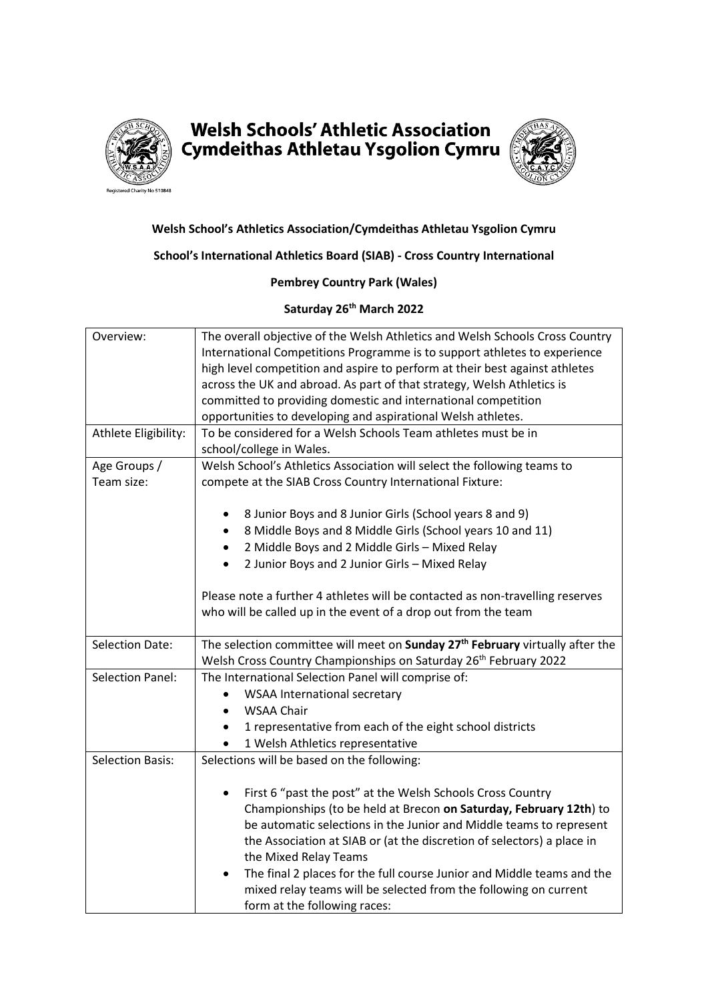

# **Welsh Schools' Athletic Association** Cymdeithas Athletau Ysgolion Cymru



## **Welsh School's Athletics Association/Cymdeithas Athletau Ysgolion Cymru**

#### **School's International Athletics Board (SIAB) - Cross Country International**

#### **Pembrey Country Park (Wales)**

### **Saturday 26 th March 2022**

| Overview:               | The overall objective of the Welsh Athletics and Welsh Schools Cross Country              |
|-------------------------|-------------------------------------------------------------------------------------------|
|                         | International Competitions Programme is to support athletes to experience                 |
|                         | high level competition and aspire to perform at their best against athletes               |
|                         | across the UK and abroad. As part of that strategy, Welsh Athletics is                    |
|                         | committed to providing domestic and international competition                             |
|                         | opportunities to developing and aspirational Welsh athletes.                              |
| Athlete Eligibility:    | To be considered for a Welsh Schools Team athletes must be in                             |
|                         | school/college in Wales.                                                                  |
| Age Groups /            | Welsh School's Athletics Association will select the following teams to                   |
| Team size:              | compete at the SIAB Cross Country International Fixture:                                  |
|                         |                                                                                           |
|                         | 8 Junior Boys and 8 Junior Girls (School years 8 and 9)                                   |
|                         | 8 Middle Boys and 8 Middle Girls (School years 10 and 11)                                 |
|                         | 2 Middle Boys and 2 Middle Girls - Mixed Relay<br>$\bullet$                               |
|                         | 2 Junior Boys and 2 Junior Girls - Mixed Relay<br>$\bullet$                               |
|                         |                                                                                           |
|                         | Please note a further 4 athletes will be contacted as non-travelling reserves             |
|                         | who will be called up in the event of a drop out from the team                            |
|                         |                                                                                           |
| <b>Selection Date:</b>  | The selection committee will meet on Sunday 27 <sup>th</sup> February virtually after the |
|                         | Welsh Cross Country Championships on Saturday 26 <sup>th</sup> February 2022              |
| <b>Selection Panel:</b> | The International Selection Panel will comprise of:                                       |
|                         | <b>WSAA International secretary</b>                                                       |
|                         | <b>WSAA Chair</b>                                                                         |
|                         | 1 representative from each of the eight school districts                                  |
|                         | 1 Welsh Athletics representative                                                          |
| <b>Selection Basis:</b> | Selections will be based on the following:                                                |
|                         |                                                                                           |
|                         | First 6 "past the post" at the Welsh Schools Cross Country                                |
|                         | Championships (to be held at Brecon on Saturday, February 12th) to                        |
|                         | be automatic selections in the Junior and Middle teams to represent                       |
|                         | the Association at SIAB or (at the discretion of selectors) a place in                    |
|                         | the Mixed Relay Teams                                                                     |
|                         | The final 2 places for the full course Junior and Middle teams and the<br>$\bullet$       |
|                         | mixed relay teams will be selected from the following on current                          |
|                         | form at the following races:                                                              |